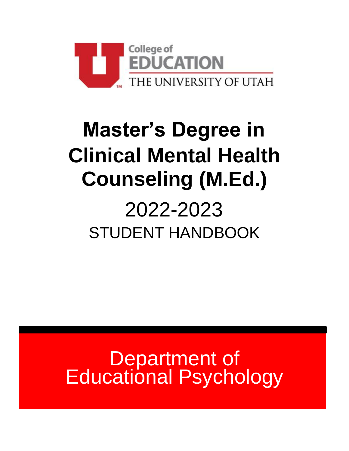

# **Master's Degree in Clinical Mental Health Counseling (M.Ed.)**

## 2022-2023 STUDENT HANDBOOK

Department of Educational Psychology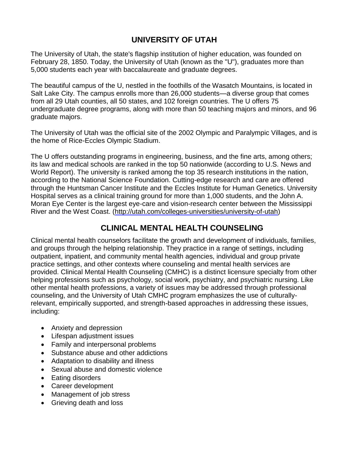## **UNIVERSITY OF UTAH**

The University of Utah, the state's flagship institution of higher education, was founded on February 28, 1850. Today, the University of Utah (known as the "U"), graduates more than 5,000 students each year with baccalaureate and graduate degrees.

The beautiful campus of the U, nestled in the foothills of the Wasatch Mountains, is located in Salt Lake City. The campus enrolls more than 26,000 students—a diverse group that comes from all 29 Utah counties, all 50 states, and 102 foreign countries. The U offers 75 undergraduate degree programs, along with more than 50 teaching majors and minors, and 96 graduate majors.

The University of Utah was the official site of the 2002 Olympic and Paralympic Villages, and is the home of Rice-Eccles Olympic Stadium.

The U offers outstanding programs in engineering, business, and the fine arts, among others; its law and medical schools are ranked in the top 50 nationwide (according to U.S. News and World Report). The university is ranked among the top 35 research institutions in the nation, according to the National Science Foundation. Cutting-edge research and care are offered through the Huntsman Cancer Institute and the Eccles Institute for Human Genetics. University Hospital serves as a clinical training ground for more than 1,000 students, and the John A. Moran Eye Center is the largest eye-care and vision-research center between the Mississippi River and the West Coast. [\(http://utah.com/colleges-universities/university-of-utah\)](http://utah.com/colleges-universities/university-of-utah)

## **CLINICAL MENTAL HEALTH COUNSELING**

Clinical mental health counselors facilitate the growth and development of individuals, families, and groups through the helping relationship. They practice in a range of settings, including outpatient, inpatient, and community mental health agencies, individual and group private practice settings, and other contexts where counseling and mental health services are provided. Clinical Mental Health Counseling (CMHC) is a distinct licensure specialty from other helping professions such as psychology, social work, psychiatry, and psychiatric nursing. Like other mental health professions, a variety of issues may be addressed through professional counseling, and the University of Utah CMHC program emphasizes the use of culturallyrelevant, empirically supported, and strength-based approaches in addressing these issues, including:

- Anxiety and depression
- Lifespan adjustment issues
- Family and interpersonal problems
- Substance abuse and other addictions
- Adaptation to disability and illness
- Sexual abuse and domestic violence
- Eating disorders
- Career development
- Management of job stress
- Grieving death and loss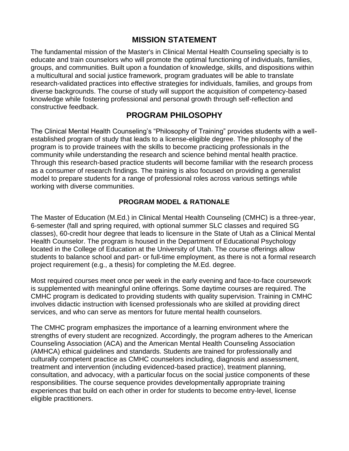## **MISSION STATEMENT**

The fundamental mission of the Master's in Clinical Mental Health Counseling specialty is to educate and train counselors who will promote the optimal functioning of individuals, families, groups, and communities. Built upon a foundation of knowledge, skills, and dispositions within a multicultural and social justice framework, program graduates will be able to translate research-validated practices into effective strategies for individuals, families, and groups from diverse backgrounds. The course of study will support the acquisition of competency-based knowledge while fostering professional and personal growth through self-reflection and constructive feedback.

#### **PROGRAM PHILOSOPHY**

The Clinical Mental Health Counseling's "Philosophy of Training" provides students with a wellestablished program of study that leads to a license-eligible degree. The philosophy of the program is to provide trainees with the skills to become practicing professionals in the community while understanding the research and science behind mental health practice. Through this research-based practice students will become familiar with the research process as a consumer of research findings. The training is also focused on providing a generalist model to prepare students for a range of professional roles across various settings while working with diverse communities.

#### **PROGRAM MODEL & RATIONALE**

The Master of Education (M.Ed.) in Clinical Mental Health Counseling (CMHC) is a three-year, 6-semester (fall and spring required, with optional summer SLC classes and required SG classes), 60-credit hour degree that leads to licensure in the State of Utah as a Clinical Mental Health Counselor. The program is housed in the Department of Educational Psychology located in the College of Education at the University of Utah. The course offerings allow students to balance school and part- or full-time employment, as there is not a formal research project requirement (e.g., a thesis) for completing the M.Ed. degree.

Most required courses meet once per week in the early evening and face-to-face coursework is supplemented with meaningful online offerings. Some daytime courses are required. The CMHC program is dedicated to providing students with quality supervision. Training in CMHC involves didactic instruction with licensed professionals who are skilled at providing direct services, and who can serve as mentors for future mental health counselors.

The CMHC program emphasizes the importance of a learning environment where the strengths of every student are recognized. Accordingly, the program adheres to the American Counseling Association (ACA) and the American Mental Health Counseling Association (AMHCA) ethical guidelines and standards. Students are trained for professionally and culturally competent practice as CMHC counselors including, diagnosis and assessment, treatment and intervention (including evidenced-based practice), treatment planning, consultation, and advocacy, with a particular focus on the social justice components of these responsibilities. The course sequence provides developmentally appropriate training experiences that build on each other in order for students to become entry-level, license eligible practitioners.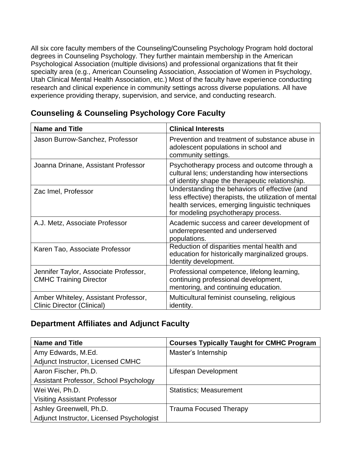All six core faculty members of the Counseling/Counseling Psychology Program hold doctoral degrees in Counseling Psychology. They further maintain membership in the American Psychological Association (multiple divisions) and professional organizations that fit their specialty area (e.g., American Counseling Association, Association of Women in Psychology, Utah Clinical Mental Health Association, etc.) Most of the faculty have experience conducting research and clinical experience in community settings across diverse populations. All have experience providing therapy, supervision, and service, and conducting research.

| <b>Name and Title</b>                                                     | <b>Clinical Interests</b>                                                                                                                                                                        |
|---------------------------------------------------------------------------|--------------------------------------------------------------------------------------------------------------------------------------------------------------------------------------------------|
| Jason Burrow-Sanchez, Professor                                           | Prevention and treatment of substance abuse in<br>adolescent populations in school and<br>community settings.                                                                                    |
| Joanna Drinane, Assistant Professor                                       | Psychotherapy process and outcome through a<br>cultural lens; understanding how intersections<br>of identity shape the therapeutic relationship.                                                 |
| Zac Imel, Professor                                                       | Understanding the behaviors of effective (and<br>less effective) therapists, the utilization of mental<br>health services, emerging linguistic techniques<br>for modeling psychotherapy process. |
| A.J. Metz, Associate Professor                                            | Academic success and career development of<br>underrepresented and underserved<br>populations.                                                                                                   |
| Karen Tao, Associate Professor                                            | Reduction of disparities mental health and<br>education for historically marginalized groups.<br>Identity development.                                                                           |
| Jennifer Taylor, Associate Professor,<br><b>CMHC Training Director</b>    | Professional competence, lifelong learning,<br>continuing professional development,<br>mentoring, and continuing education.                                                                      |
| Amber Whiteley, Assistant Professor,<br><b>Clinic Director (Clinical)</b> | Multicultural feminist counseling, religious<br>identity.                                                                                                                                        |

## **Counseling & Counseling Psychology Core Faculty**

## **Department Affiliates and Adjunct Faculty**

| <b>Name and Title</b>                     | <b>Courses Typically Taught for CMHC Program</b> |
|-------------------------------------------|--------------------------------------------------|
| Amy Edwards, M.Ed.                        | Master's Internship                              |
| Adjunct Instructor, Licensed CMHC         |                                                  |
| Aaron Fischer, Ph.D.                      | Lifespan Development                             |
| Assistant Professor, School Psychology    |                                                  |
| Wei Wei, Ph.D.                            | <b>Statistics; Measurement</b>                   |
| <b>Visiting Assistant Professor</b>       |                                                  |
| Ashley Greenwell, Ph.D.                   | <b>Trauma Focused Therapy</b>                    |
| Adjunct Instructor, Licensed Psychologist |                                                  |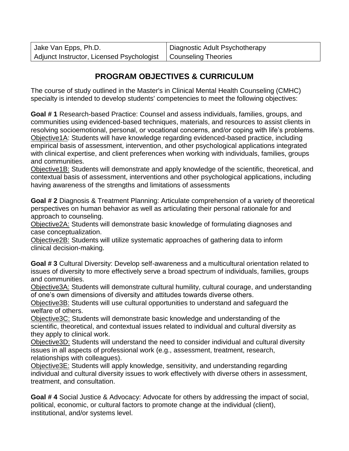| Jake Van Epps, Ph.D.                                            | Diagnostic Adult Psychotherapy |
|-----------------------------------------------------------------|--------------------------------|
| Adjunct Instructor, Licensed Psychologist   Counseling Theories |                                |

## **PROGRAM OBJECTIVES & CURRICULUM**

The course of study outlined in the Master's in Clinical Mental Health Counseling (CMHC) specialty is intended to develop students' competencies to meet the following objectives:

**Goal # 1** Research-based Practice: Counsel and assess individuals, families, groups, and communities using evidenced-based techniques, materials, and resources to assist clients in resolving socioemotional, personal, or vocational concerns, and/or coping with life's problems. Objective1A: Students will have knowledge regarding evidenced-based practice, including empirical basis of assessment, intervention, and other psychological applications integrated with clinical expertise, and client preferences when working with individuals, families, groups and communities.

Objective1B: Students will demonstrate and apply knowledge of the scientific, theoretical, and contextual basis of assessment, interventions and other psychological applications, including having awareness of the strengths and limitations of assessments

**Goal # 2** Diagnosis & Treatment Planning: Articulate comprehension of a variety of theoretical perspectives on human behavior as well as articulating their personal rationale for and approach to counseling.

Objective2A: Students will demonstrate basic knowledge of formulating diagnoses and case conceptualization.

Objective2B: Students will utilize systematic approaches of gathering data to inform clinical decision-making.

**Goal # 3** Cultural Diversity: Develop self-awareness and a multicultural orientation related to issues of diversity to more effectively serve a broad spectrum of individuals, families, groups and communities.

Objective3A: Students will demonstrate cultural humility, cultural courage, and understanding of one's own dimensions of diversity and attitudes towards diverse others.

Objective3B: Students will use cultural opportunities to understand and safeguard the welfare of others.

Objective3C: Students will demonstrate basic knowledge and understanding of the scientific, theoretical, and contextual issues related to individual and cultural diversity as they apply to clinical work.

Objective3D: Students will understand the need to consider individual and cultural diversity issues in all aspects of professional work (e.g., assessment, treatment, research, relationships with colleagues).

Objective3E: Students will apply knowledge, sensitivity, and understanding regarding individual and cultural diversity issues to work effectively with diverse others in assessment, treatment, and consultation.

**Goal # 4** Social Justice & Advocacy: Advocate for others by addressing the impact of social, political, economic, or cultural factors to promote change at the individual (client), institutional, and/or systems level.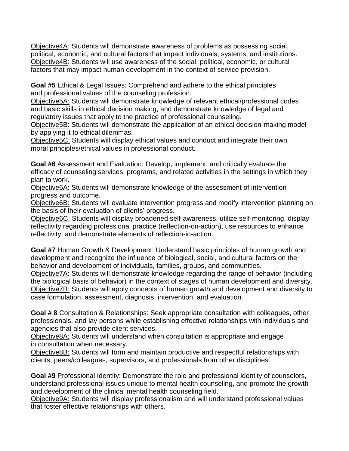Objective4A: Students will demonstrate awareness of problems as possessing social, political, economic, and cultural factors that impact individuals, systems, and institutions. Objective4B: Students will use awareness of the social, political, economic, or cultural factors that may impact human development in the context of service provision.

**Goal #5** Ethical & Legal Issues: Comprehend and adhere to the ethical principles and professional values of the counseling profession.

Objective5A: Students will demonstrate knowledge of relevant ethical/professional codes and basic skills in ethical decision making, and demonstrate knowledge of legal and regulatory issues that apply to the practice of professional counseling.

Objective5B: Students will demonstrate the application of an ethical decision-making model by applying it to ethical dilemmas.

Objective5C: Students will display ethical values and conduct and integrate their own moral principles/ethical values in professional conduct.

**Goal #6** Assessment and Evaluation: Develop, implement, and critically evaluate the efficacy of counseling services, programs, and related activities in the settings in which they plan to work.

Objective6A: Students will demonstrate knowledge of the assessment of intervention progress and outcome.

Objective6B: Students will evaluate intervention progress and modify intervention planning on the basis of their evaluation of clients' progress.

Objective6C: Students will display broadened self-awareness, utilize self-monitoring, display reflectivity regarding professional practice (reflection-on-action), use resources to enhance reflectivity, and demonstrate elements of reflection-in-action.

**Goal #7** Human Growth & Development: Understand basic principles of human growth and development and recognize the influence of biological, social, and cultural factors on the behavior and development of individuals, families, groups, and communities.

Objective7A: Students will demonstrate knowledge regarding the range of behavior (including the biological basis of behavior) in the context of stages of human development and diversity. Objective7B: Students will apply concepts of human growth and development and diversity to case formulation, assessment, diagnosis, intervention, and evaluation.

**Goal # 8** Consultation & Relationships: Seek appropriate consultation with colleagues, other professionals, and lay persons while establishing effective relationships with individuals and agencies that also provide client services.

Objective8A: Students will understand when consultation is appropriate and engage in consultation when necessary.

Objective8B: Students will form and maintain productive and respectful relationships with clients, peers/colleagues, supervisors, and professionals from other disciplines.

**Goal #9** Professional Identity: Demonstrate the role and professional identity of counselors, understand professional issues unique to mental health counseling, and promote the growth and development of the clinical mental health counseling field.

Objective9A: Students will display professionalism and will understand professional values that foster effective relationships with others.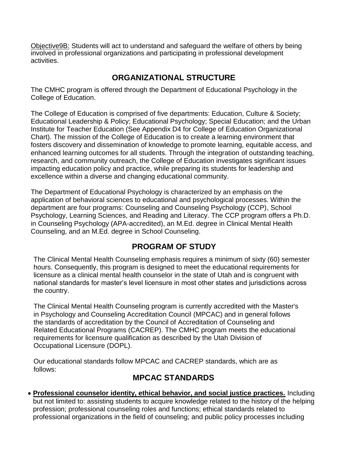Objective9B: Students will act to understand and safeguard the welfare of others by being involved in professional organizations and participating in professional development activities.

## **ORGANIZATIONAL STRUCTURE**

The CMHC program is offered through the Department of Educational Psychology in the College of Education.

The College of Education is comprised of five departments: Education, Culture & Society; Educational Leadership & Policy; Educational Psychology; Special Education; and the Urban Institute for Teacher Education (See Appendix D4 for College of Education Organizational Chart). The mission of the College of Education is to create a learning environment that fosters discovery and dissemination of knowledge to promote learning, equitable access, and enhanced learning outcomes for all students. Through the integration of outstanding teaching, research, and community outreach, the College of Education investigates significant issues impacting education policy and practice, while preparing its students for leadership and excellence within a diverse and changing educational community.

The Department of Educational Psychology is characterized by an emphasis on the application of behavioral sciences to educational and psychological processes. Within the department are four programs: Counseling and Counseling Psychology (CCP), School Psychology, Learning Sciences, and Reading and Literacy. The CCP program offers a Ph.D. in Counseling Psychology (APA-accredited), an M.Ed. degree in Clinical Mental Health Counseling, and an M.Ed. degree in School Counseling.

## **PROGRAM OF STUDY**

The Clinical Mental Health Counseling emphasis requires a minimum of sixty (60) semester hours. Consequently, this program is designed to meet the educational requirements for licensure as a clinical mental health counselor in the state of Utah and is congruent with national standards for master's level licensure in most other states and jurisdictions across the country.

The Clinical Mental Health Counseling program is currently accredited with the Master's in Psychology and Counseling Accreditation Council (MPCAC) and in general follows the standards of accreditation by the Council of Accreditation of Counseling and Related Educational Programs (CACREP). The CMHC program meets the educational requirements for licensure qualification as described by the Utah Division of Occupational Licensure (DOPL).

Our educational standards follow MPCAC and CACREP standards, which are as follows:

## **MPCAC STANDARDS**

 **Professional counselor identity, ethical behavior, and social justice practices.** Including but not limited to: assisting students to acquire knowledge related to the history of the helping profession; professional counseling roles and functions; ethical standards related to professional organizations in the field of counseling; and public policy processes including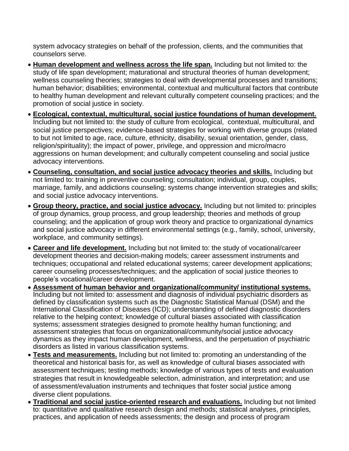system advocacy strategies on behalf of the profession, clients, and the communities that counselors serve.

- **Human development and wellness across the life span.** Including but not limited to: the study of life span development; maturational and structural theories of human development; wellness counseling theories; strategies to deal with developmental processes and transitions; human behavior; disabilities; environmental, contextual and multicultural factors that contribute to healthy human development and relevant culturally competent counseling practices; and the promotion of social justice in society.
- **Ecological, contextual, multicultural, social justice foundations of human development.** Including but not limited to: the study of culture from ecological, contextual, multicultural, and social justice perspectives; evidence-based strategies for working with diverse groups (related to but not limited to age, race, culture, ethnicity, disability, sexual orientation, gender, class, religion/spirituality); the impact of power, privilege, and oppression and micro/macro aggressions on human development; and culturally competent counseling and social justice advocacy interventions.
- **Counseling, consultation, and social justice advocacy theories and skills.** Including but not limited to: training in preventive counseling; consultation; individual, group, couples, marriage, family, and addictions counseling; systems change intervention strategies and skills; and social justice advocacy interventions.
- **Group theory, practice, and social justice advocacy.** Including but not limited to: principles of group dynamics, group process, and group leadership; theories and methods of group counseling; and the application of group work theory and practice to organizational dynamics and social justice advocacy in different environmental settings (e.g., family, school, university, workplace, and community settings).
- **Career and life development.** Including but not limited to: the study of vocational/career development theories and decision-making models; career assessment instruments and techniques; occupational and related educational systems; career development applications; career counseling processes/techniques; and the application of social justice theories to people's vocational/career development.
- **Assessment of human behavior and organizational/community/ institutional systems.**  Including but not limited to: assessment and diagnosis of individual psychiatric disorders as defined by classification systems such as the Diagnostic Statistical Manual (DSM) and the International Classification of Diseases (ICD); understanding of defined diagnostic disorders relative to the helping context; knowledge of cultural biases associated with classification systems; assessment strategies designed to promote healthy human functioning; and assessment strategies that focus on organizational/community/social justice advocacy dynamics as they impact human development, wellness, and the perpetuation of psychiatric disorders as listed in various classification systems.
- **Tests and measurements.** Including but not limited to: promoting an understanding of the theoretical and historical basis for, as well as knowledge of cultural biases associated with assessment techniques; testing methods; knowledge of various types of tests and evaluation strategies that result in knowledgeable selection, administration, and interpretation; and use of assessment/evaluation instruments and techniques that foster social justice among diverse client populations.
- **Traditional and social justice-oriented research and evaluations.** Including but not limited to: quantitative and qualitative research design and methods; statistical analyses, principles, practices, and application of needs assessments; the design and process of program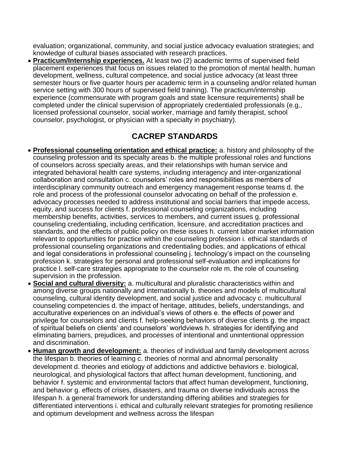evaluation; organizational, community, and social justice advocacy evaluation strategies; and knowledge of cultural biases associated with research practices.

 **Practicum/Internship experiences.** At least two (2) academic terms of supervised field placement experiences that focus on issues related to the promotion of mental health, human development, wellness, cultural competence, and social justice advocacy (at least three semester hours or five quarter hours per academic term in a counseling and/or related human service setting with 300 hours of supervised field training). The practicum/internship experience (commensurate with program goals and state licensure requirements) shall be completed under the clinical supervision of appropriately credentialed professionals (e.g., licensed professional counselor, social worker, marriage and family therapist, school counselor, psychologist, or physician with a specialty in psychiatry).

#### **CACREP STANDARDS**

- **Professional counseling orientation and ethical practice:** a. history and philosophy of the counseling profession and its specialty areas b. the multiple professional roles and functions of counselors across specialty areas, and their relationships with human service and integrated behavioral health care systems, including interagency and inter-organizational collaboration and consultation c. counselors' roles and responsibilities as members of interdisciplinary community outreach and emergency management response teams d. the role and process of the professional counselor advocating on behalf of the profession e. advocacy processes needed to address institutional and social barriers that impede access, equity, and success for clients f. professional counseling organizations, including membership benefits, activities, services to members, and current issues g. professional counseling credentialing, including certification, licensure, and accreditation practices and standards, and the effects of public policy on these issues h. current labor market information relevant to opportunities for practice within the counseling profession i. ethical standards of professional counseling organizations and credentialing bodies, and applications of ethical and legal considerations in professional counseling j. technology's impact on the counseling profession k. strategies for personal and professional self-evaluation and implications for practice l. self-care strategies appropriate to the counselor role m. the role of counseling supervision in the profession.
- **Social and cultural diversity:** a. multicultural and pluralistic characteristics within and among diverse groups nationally and internationally b. theories and models of multicultural counseling, cultural identity development, and social justice and advocacy c. multicultural counseling competencies d. the impact of heritage, attitudes, beliefs, understandings, and acculturative experiences on an individual's views of others e. the effects of power and privilege for counselors and clients f. help-seeking behaviors of diverse clients g. the impact of spiritual beliefs on clients' and counselors' worldviews h. strategies for identifying and eliminating barriers, prejudices, and processes of intentional and unintentional oppression and discrimination.
- **Human growth and development:** a. theories of individual and family development across the lifespan b. theories of learning c. theories of normal and abnormal personality development d. theories and etiology of addictions and addictive behaviors e. biological, neurological, and physiological factors that affect human development, functioning, and behavior f. systemic and environmental factors that affect human development, functioning, and behavior g. effects of crises, disasters, and trauma on diverse individuals across the lifespan h. a general framework for understanding differing abilities and strategies for differentiated interventions i. ethical and culturally relevant strategies for promoting resilience and optimum development and wellness across the lifespan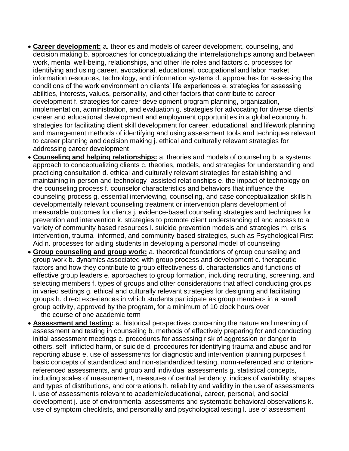- **Career development:** a. theories and models of career development, counseling, and decision making b. approaches for conceptualizing the interrelationships among and between work, mental well-being, relationships, and other life roles and factors c. processes for identifying and using career, avocational, educational, occupational and labor market information resources, technology, and information systems d. approaches for assessing the conditions of the work environment on clients' life experiences e. strategies for assessing abilities, interests, values, personality, and other factors that contribute to career development f. strategies for career development program planning, organization, implementation, administration, and evaluation g. strategies for advocating for diverse clients' career and educational development and employment opportunities in a global economy h. strategies for facilitating client skill development for career, educational, and lifework planning and management methods of identifying and using assessment tools and techniques relevant to career planning and decision making j. ethical and culturally relevant strategies for addressing career development
- **Counseling and helping relationships:** a. theories and models of counseling b. a systems approach to conceptualizing clients c. theories, models, and strategies for understanding and practicing consultation d. ethical and culturally relevant strategies for establishing and maintaining in-person and technology- assisted relationships e. the impact of technology on the counseling process f. counselor characteristics and behaviors that influence the counseling process g. essential interviewing, counseling, and case conceptualization skills h. developmentally relevant counseling treatment or intervention plans development of measurable outcomes for clients j. evidence-based counseling strategies and techniques for prevention and intervention k. strategies to promote client understanding of and access to a variety of community based resources l. suicide prevention models and strategies m. crisis intervention, trauma- informed, and community-based strategies, such as Psychological First Aid n. processes for aiding students in developing a personal model of counseling
- **Group counseling and group work:** a. theoretical foundations of group counseling and group work b. dynamics associated with group process and development c. therapeutic factors and how they contribute to group effectiveness d. characteristics and functions of effective group leaders e. approaches to group formation, including recruiting, screening, and selecting members f. types of groups and other considerations that affect conducting groups in varied settings g. ethical and culturally relevant strategies for designing and facilitating groups h. direct experiences in which students participate as group members in a small group activity, approved by the program, for a minimum of 10 clock hours over

the course of one academic term

 **Assessment and testing:** a. historical perspectives concerning the nature and meaning of assessment and testing in counseling b. methods of effectively preparing for and conducting initial assessment meetings c. procedures for assessing risk of aggression or danger to others, self- inflicted harm, or suicide d. procedures for identifying trauma and abuse and for reporting abuse e. use of assessments for diagnostic and intervention planning purposes f. basic concepts of standardized and non-standardized testing, norm-referenced and criterionreferenced assessments, and group and individual assessments g. statistical concepts, including scales of measurement, measures of central tendency, indices of variability, shapes and types of distributions, and correlations h. reliability and validity in the use of assessments i. use of assessments relevant to academic/educational, career, personal, and social development j. use of environmental assessments and systematic behavioral observations k. use of symptom checklists, and personality and psychological testing l. use of assessment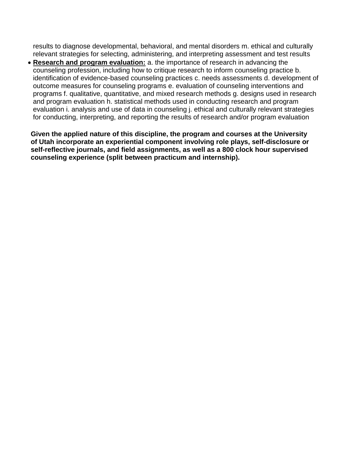results to diagnose developmental, behavioral, and mental disorders m. ethical and culturally relevant strategies for selecting, administering, and interpreting assessment and test results

 **Research and program evaluation:** a. the importance of research in advancing the counseling profession, including how to critique research to inform counseling practice b. identification of evidence-based counseling practices c. needs assessments d. development of outcome measures for counseling programs e. evaluation of counseling interventions and programs f. qualitative, quantitative, and mixed research methods g. designs used in research and program evaluation h. statistical methods used in conducting research and program evaluation i. analysis and use of data in counseling j. ethical and culturally relevant strategies for conducting, interpreting, and reporting the results of research and/or program evaluation

**Given the applied nature of this discipline, the program and courses at the University of Utah incorporate an experiential component involving role plays, self-disclosure or self-reflective journals, and field assignments, as well as a 800 clock hour supervised counseling experience (split between practicum and internship).**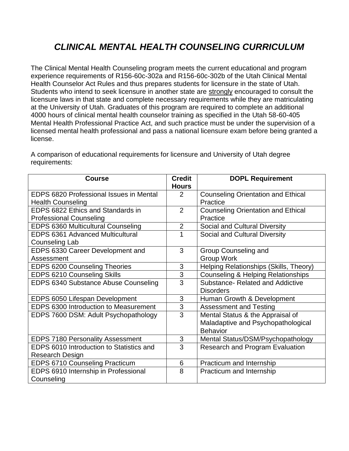## *CLINICAL MENTAL HEALTH COUNSELING CURRICULUM*

The Clinical Mental Health Counseling program meets the current educational and program experience requirements of R156-60c-302a and R156-60c-302b of the Utah Clinical Mental Health Counselor Act Rules and thus prepares students for licensure in the state of Utah. Students who intend to seek licensure in another state are strongly encouraged to consult the licensure laws in that state and complete necessary requirements while they are matriculating at the University of Utah. Graduates of this program are required to complete an additional 4000 hours of clinical mental health counselor training as specified in the Utah 58-60-405 Mental Health Professional Practice Act, and such practice must be under the supervision of a licensed mental health professional and pass a national licensure exam before being granted a license.

| <b>Course</b>                            | <b>Credit</b><br><b>Hours</b> | <b>DOPL Requirement</b>                       |
|------------------------------------------|-------------------------------|-----------------------------------------------|
| EDPS 6820 Professional Issues in Mental  | 2                             | <b>Counseling Orientation and Ethical</b>     |
| <b>Health Counseling</b>                 |                               | Practice                                      |
| EDPS 6822 Ethics and Standards in        | $\overline{2}$                | <b>Counseling Orientation and Ethical</b>     |
| <b>Professional Counseling</b>           |                               | Practice                                      |
| EDPS 6360 Multicultural Counseling       | 2                             | Social and Cultural Diversity                 |
| <b>EDPS 6361 Advanced Multicultural</b>  | 1                             | Social and Cultural Diversity                 |
| Counseling Lab                           |                               |                                               |
| EDPS 6330 Career Development and         | 3                             | Group Counseling and                          |
| Assessment                               |                               | <b>Group Work</b>                             |
| <b>EDPS 6200 Counseling Theories</b>     | 3                             | Helping Relationships (Skills, Theory)        |
| EDPS 6210 Counseling Skills              | 3                             | <b>Counseling &amp; Helping Relationships</b> |
| EDPS 6340 Substance Abuse Counseling     | $\overline{3}$                | Substance- Related and Addictive              |
|                                          |                               | <b>Disorders</b>                              |
| EDPS 6050 Lifespan Development           | 3                             | Human Growth & Development                    |
| EDPS 6300 Introduction to Measurement    | 3                             | <b>Assessment and Testing</b>                 |
| EDPS 7600 DSM: Adult Psychopathology     | $\overline{3}$                | Mental Status & the Appraisal of              |
|                                          |                               | Maladaptive and Psychopathological            |
|                                          |                               | <b>Behavior</b>                               |
| <b>EDPS 7180 Personality Assessment</b>  | 3                             | Mental Status/DSM/Psychopathology             |
| EDPS 6010 Introduction to Statistics and | 3                             | <b>Research and Program Evaluation</b>        |
| Research Design                          |                               |                                               |
| <b>EDPS 6710 Counseling Practicum</b>    | 6                             | Practicum and Internship                      |
| EDPS 6910 Internship in Professional     | 8                             | Practicum and Internship                      |
| Counseling                               |                               |                                               |

A comparison of educational requirements for licensure and University of Utah degree requirements: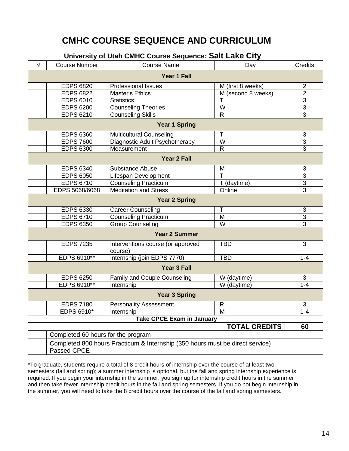## **CMHC COURSE SEQUENCE AND CURRICULUM**

#### **University of Utah CMHC Course Sequence: Salt Lake City**

|                                    |                                                                               | oniversity of oldir onlite ocal se oequence. Oan Eand Only |                      |                |
|------------------------------------|-------------------------------------------------------------------------------|------------------------------------------------------------|----------------------|----------------|
| $\sqrt{}$                          | <b>Course Number</b>                                                          | <b>Course Name</b>                                         | Day                  | <b>Credits</b> |
|                                    |                                                                               | <b>Year 1 Fall</b>                                         |                      |                |
|                                    | <b>EDPS 6820</b>                                                              | <b>Professional Issues</b>                                 | M (first 8 weeks)    | $\overline{c}$ |
|                                    | <b>EDPS 6822</b>                                                              | Master's Ethics                                            | M (second 8 weeks)   | $\overline{2}$ |
|                                    | <b>EDPS 6010</b>                                                              | <b>Statistics</b>                                          | Т                    | 3              |
|                                    | <b>EDPS 6200</b>                                                              | <b>Counseling Theories</b>                                 | W                    | 3              |
|                                    | <b>EDPS 6210</b>                                                              | <b>Counseling Skills</b>                                   | $\overline{R}$       | $\overline{3}$ |
|                                    |                                                                               | <b>Year 1 Spring</b>                                       |                      |                |
|                                    | <b>EDPS 6360</b>                                                              | Multicultural Counseling                                   | Τ                    | 3              |
|                                    | <b>EDPS 7600</b>                                                              | Diagnostic Adult Psychotherapy                             | $\overline{W}$       | $\overline{3}$ |
|                                    | <b>EDPS 6300</b>                                                              | Measurement                                                | $\mathsf{R}$         | $\overline{3}$ |
|                                    |                                                                               | <b>Year 2 Fall</b>                                         |                      |                |
|                                    | <b>EDPS 6340</b>                                                              | Substance Abuse                                            | M                    | 3              |
|                                    | <b>EDPS 6050</b>                                                              | Lifespan Development                                       | $\overline{\top}$    | $\overline{3}$ |
|                                    | <b>EDPS 6710</b>                                                              | <b>Counseling Practicum</b>                                | T (daytime)          | $\overline{3}$ |
|                                    | EDPS 5068/6068                                                                | <b>Meditation and Stress</b>                               | Online               | $\overline{3}$ |
|                                    |                                                                               | <b>Year 2 Spring</b>                                       |                      |                |
|                                    | <b>EDPS 6330</b>                                                              | <b>Career Counseling</b>                                   | Τ                    | 3              |
|                                    | <b>EDPS 6710</b>                                                              | <b>Counseling Practicum</b>                                | M                    | 3              |
|                                    | <b>EDPS 6350</b>                                                              | <b>Group Counseling</b>                                    | $\overline{W}$       | $\overline{3}$ |
|                                    |                                                                               | <b>Year 2 Summer</b>                                       |                      |                |
|                                    | <b>EDPS 7235</b>                                                              | Interventions course (or approved<br>course)               | <b>TBD</b>           | 3              |
|                                    | EDPS 6910**                                                                   | Internship (join EDPS 7770)                                | <b>TBD</b>           | $1 - 4$        |
|                                    |                                                                               | <b>Year 3 Fall</b>                                         |                      |                |
|                                    | <b>EDPS 6250</b>                                                              | Family and Couple Counseling                               | W (daytime)          | 3              |
|                                    | EDPS 6910**                                                                   | Internship                                                 | W (daytime)          | $1 - 4$        |
|                                    |                                                                               | <b>Year 3 Spring</b>                                       |                      |                |
|                                    | <b>EDPS 7180</b>                                                              | <b>Personality Assessment</b>                              | R                    | 3              |
|                                    | <b>EDPS 6910*</b>                                                             | Internship                                                 | $\overline{M}$       | $1 - 4$        |
|                                    |                                                                               | <b>Take CPCE Exam in January</b>                           |                      |                |
|                                    |                                                                               |                                                            | <b>TOTAL CREDITS</b> | 60             |
| Completed 60 hours for the program |                                                                               |                                                            |                      |                |
|                                    | Completed 800 hours Practicum & Internship (350 hours must be direct service) |                                                            |                      |                |
|                                    | Passed CPCE                                                                   |                                                            |                      |                |

\*To graduate, students require a total of 8 credit hours of internship over the course of at least two semesters (fall and spring); a summer internship is optional, but the fall and spring internship experience is required. If you begin your internship in the summer, you sign up for internship credit hours in the summer and then take fewer internship credit hours in the fall and spring semesters. If you do not begin internship in the summer, you will need to take the 8 credit hours over the course of the fall and spring semesters.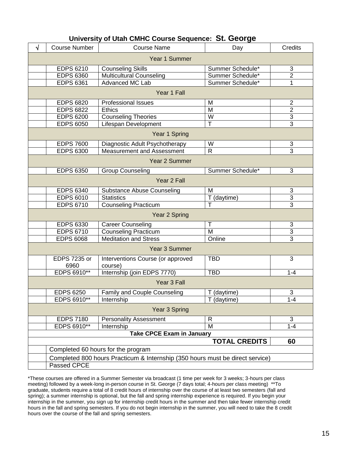#### **University of Utah CMHC Course Sequence: St. George**

| $\sqrt{}$ | <b>Course Number</b>        | <b>Course Name</b>                                                            | Day                     | <b>Credits</b> |
|-----------|-----------------------------|-------------------------------------------------------------------------------|-------------------------|----------------|
|           |                             | Year 1 Summer                                                                 |                         |                |
|           | <b>EDPS 6210</b>            | <b>Counseling Skills</b>                                                      | Summer Schedule*        | 3              |
|           | <b>EDPS 6360</b>            | <b>Multicultural Counseling</b>                                               | Summer Schedule*        | $\overline{2}$ |
|           | <b>EDPS 6361</b>            | <b>Advanced MC Lab</b>                                                        | Summer Schedule*        | 1              |
|           |                             | Year 1 Fall                                                                   |                         |                |
|           | <b>EDPS 6820</b>            | <b>Professional Issues</b>                                                    | M                       | $\overline{2}$ |
|           | <b>EDPS 6822</b>            | <b>Ethics</b>                                                                 | M                       | $\overline{2}$ |
|           | <b>EDPS 6200</b>            | <b>Counseling Theories</b>                                                    | W                       | $\overline{3}$ |
|           | <b>EDPS 6050</b>            | Lifespan Development                                                          | $\overline{\mathsf{T}}$ | $\overline{3}$ |
|           |                             | Year 1 Spring                                                                 |                         |                |
|           | <b>EDPS 7600</b>            | Diagnostic Adult Psychotherapy                                                | W                       | 3              |
|           | <b>EDPS 6300</b>            | <b>Measurement and Assessment</b>                                             | $\mathsf{R}$            | 3              |
|           |                             | Year 2 Summer                                                                 |                         |                |
|           | <b>EDPS 6350</b>            | <b>Group Counseling</b>                                                       | Summer Schedule*        | 3              |
|           |                             | Year 2 Fall                                                                   |                         |                |
|           | <b>EDPS 6340</b>            | <b>Substance Abuse Counseling</b>                                             | M                       | 3              |
|           | <b>EDPS 6010</b>            | <b>Statistics</b>                                                             | T (daytime)             | $\overline{3}$ |
|           | <b>EDPS 6710</b>            | <b>Counseling Practicum</b>                                                   |                         | $\overline{3}$ |
|           |                             | Year 2 Spring                                                                 |                         |                |
|           | <b>EDPS 6330</b>            | <b>Career Counseling</b>                                                      | $\mathsf T$             | 3              |
|           | <b>EDPS 6710</b>            | <b>Counseling Practicum</b>                                                   | M                       | $\overline{3}$ |
|           | <b>EDPS 6068</b>            | <b>Meditation and Stress</b>                                                  | Online                  | $\overline{3}$ |
|           |                             | Year 3 Summer                                                                 |                         |                |
|           | <b>EDPS 7235 or</b><br>6960 | Interventions Course (or approved<br>course)                                  | <b>TBD</b>              | 3              |
|           | EDPS 6910**                 | Internship (join EDPS 7770)                                                   | <b>TBD</b>              | $1 - 4$        |
|           |                             | Year 3 Fall                                                                   |                         |                |
|           | <b>EDPS 6250</b>            | Family and Couple Counseling                                                  | T (daytime)             | 3              |
|           | EDPS 6910**                 | Internship                                                                    | T (daytime)             | 1-4            |
|           |                             | Year 3 Spring                                                                 |                         |                |
|           | <b>EDPS 7180</b>            | <b>Personality Assessment</b>                                                 | R                       | 3              |
|           | EDPS 6910**                 | Internship                                                                    | M                       | $1 - 4$        |
|           |                             | <b>Take CPCE Exam in January</b>                                              |                         |                |
|           |                             |                                                                               | <b>TOTAL CREDITS</b>    | 60             |
|           |                             | Completed 60 hours for the program                                            |                         |                |
|           |                             | Completed 800 hours Practicum & Internship (350 hours must be direct service) |                         |                |
|           | Passed CPCE                 |                                                                               |                         |                |

\*These courses are offered in a Summer Semester via broadcast (1 time per week for 3 weeks; 3-hours per class meeting) followed by a week-long in-person course in St. George (7 days total; 4-hours per class meeting) \*\*To graduate, students require a total of 8 credit hours of internship over the course of at least two semesters (fall and spring); a summer internship is optional, but the fall and spring internship experience is required. If you begin your internship in the summer, you sign up for internship credit hours in the summer and then take fewer internship credit hours in the fall and spring semesters. If you do not begin internship in the summer, you will need to take the 8 credit hours over the course of the fall and spring semesters.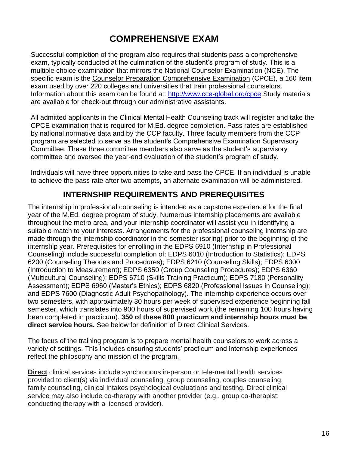## **COMPREHENSIVE EXAM**

Successful completion of the program also requires that students pass a comprehensive exam, typically conducted at the culmination of the student's program of study. This is a multiple choice examination that mirrors the National Counselor Examination (NCE). The specific exam is the Counselor Preparation Comprehensive Examination (CPCE), a 160 item exam used by over 220 colleges and universities that train professional counselors. Information about this exam can be found at:<http://www.cce-global.org/cpce> Study materials are available for check-out through our administrative assistants.

All admitted applicants in the Clinical Mental Health Counseling track will register and take the CPCE examination that is required for M.Ed. degree completion. Pass rates are established by national normative data and by the CCP faculty. Three faculty members from the CCP program are selected to serve as the student's Comprehensive Examination Supervisory Committee. These three committee members also serve as the student's supervisory committee and oversee the year-end evaluation of the student's program of study.

Individuals will have three opportunities to take and pass the CPCE. If an individual is unable to achieve the pass rate after two attempts, an alternate examination will be administered.

#### **INTERNSHIP REQUIREMENTS AND PREREQUISITES**

The internship in professional counseling is intended as a capstone experience for the final year of the M.Ed. degree program of study. Numerous internship placements are available throughout the metro area, and your internship coordinator will assist you in identifying a suitable match to your interests. Arrangements for the professional counseling internship are made through the internship coordinator in the semester (spring) prior to the beginning of the internship year. Prerequisites for enrolling in the EDPS 6910 (Internship in Professional Counseling) include successful completion of: EDPS 6010 (Introduction to Statistics); EDPS 6200 (Counseling Theories and Procedures); EDPS 6210 (Counseling Skills); EDPS 6300 (Introduction to Measurement); EDPS 6350 (Group Counseling Procedures); EDPS 6360 (Multicultural Counseling); EDPS 6710 (Skills Training Practicum); EDPS 7180 (Personality Assessment); EDPS 6960 (Master's Ethics); EDPS 6820 (Professional Issues in Counseling); and EDPS 7600 (Diagnostic Adult Psychopathology). The internship experience occurs over two semesters, with approximately 30 hours per week of supervised experience beginning fall semester, which translates into 900 hours of supervised work (the remaining 100 hours having been completed in practicum). **350 of these 800 practicum and internship hours must be direct service hours.** See below for definition of Direct Clinical Services.

The focus of the training program is to prepare mental health counselors to work across a variety of settings. This includes ensuring students' practicum and internship experiences reflect the philosophy and mission of the program.

**Direct** clinical services include synchronous in-person or tele-mental health services provided to client(s) via individual counseling, group counseling, couples counseling, family counseling, clinical intakes psychological evaluations and testing. Direct clinical service may also include co-therapy with another provider (e.g., group co-therapist; conducting therapy with a licensed provider).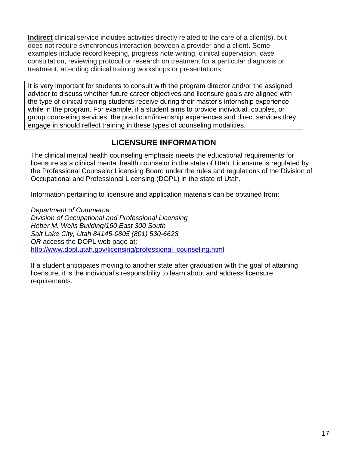**Indirect** clinical service includes activities directly related to the care of a client(s), but does not require synchronous interaction between a provider and a client. Some examples include record keeping, progress note writing, clinical supervision, case consultation, reviewing protocol or research on treatment for a particular diagnosis or treatment, attending clinical training workshops or presentations.

It is very important for students to consult with the program director and/or the assigned advisor to discuss whether future career objectives and licensure goals are aligned with the type of clinical training students receive during their master's internship experience while in the program. For example, if a student aims to provide individual, couples, or group counseling services, the practicum/internship experiences and direct services they engage in should reflect training in these types of counseling modalities.

## **LICENSURE INFORMATION**

The clinical mental health counseling emphasis meets the educational requirements for licensure as a clinical mental health counselor in the state of Utah. Licensure is regulated by the Professional Counselor Licensing Board under the rules and regulations of the Division of Occupational and Professional Licensing (DOPL) in the state of Utah.

Information pertaining to licensure and application materials can be obtained from:

*Department of Commerce Division of Occupational and Professional Licensing Heber M. Wells Building/160 East 300 South Salt Lake City, Utah 84145-0805 (801) 530-6628 OR* access the DOPL web page at: [http://www.dopl.utah.gov/licensing/professional\\_counseling.html](http://www.dopl.utah.gov/licensing/professional_counseling.html)

If a student anticipates moving to another state after graduation with the goal of attaining licensure, it is the individual's responsibility to learn about and address licensure requirements.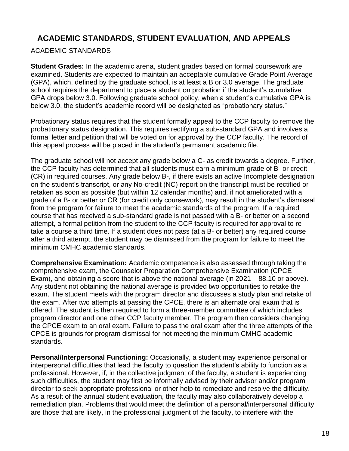## **ACADEMIC STANDARDS, STUDENT EVALUATION, AND APPEALS**

#### ACADEMIC STANDARDS

**Student Grades:** In the academic arena, student grades based on formal coursework are examined. Students are expected to maintain an acceptable cumulative Grade Point Average (GPA), which, defined by the graduate school, is at least a B or 3.0 average. The graduate school requires the department to place a student on probation if the student's cumulative GPA drops below 3.0. Following graduate school policy, when a student's cumulative GPA is below 3.0, the student's academic record will be designated as "probationary status."

Probationary status requires that the student formally appeal to the CCP faculty to remove the probationary status designation. This requires rectifying a sub-standard GPA and involves a formal letter and petition that will be voted on for approval by the CCP faculty. The record of this appeal process will be placed in the student's permanent academic file.

The graduate school will not accept any grade below a C- as credit towards a degree. Further, the CCP faculty has determined that all students must earn a minimum grade of B- or credit (CR) in required courses. Any grade below B-, if there exists an active Incomplete designation on the student's transcript, or any No-credit (NC) report on the transcript must be rectified or retaken as soon as possible (but within 12 calendar months) and, if not ameliorated with a grade of a B- or better or CR (for credit only coursework), may result in the student's dismissal from the program for failure to meet the academic standards of the program. If a required course that has received a sub-standard grade is not passed with a B- or better on a second attempt, a formal petition from the student to the CCP faculty is required for approval to retake a course a third time. If a student does not pass (at a B- or better) any required course after a third attempt, the student may be dismissed from the program for failure to meet the minimum CMHC academic standards.

**Comprehensive Examination:** Academic competence is also assessed through taking the comprehensive exam, the Counselor Preparation Comprehensive Examination (CPCE Exam), and obtaining a score that is above the national average (in 2021 – 88.10 or above). Any student not obtaining the national average is provided two opportunities to retake the exam. The student meets with the program director and discusses a study plan and retake of the exam. After two attempts at passing the CPCE, there is an alternate oral exam that is offered. The student is then required to form a three-member committee of which includes program director and one other CCP faculty member. The program then considers changing the CPCE exam to an oral exam. Failure to pass the oral exam after the three attempts of the CPCE is grounds for program dismissal for not meeting the minimum CMHC academic standards.

**Personal/Interpersonal Functioning:** Occasionally, a student may experience personal or interpersonal difficulties that lead the faculty to question the student's ability to function as a professional. However, if, in the collective judgment of the faculty, a student is experiencing such difficulties, the student may first be informally advised by their advisor and/or program director to seek appropriate professional or other help to remediate and resolve the difficulty. As a result of the annual student evaluation, the faculty may also collaboratively develop a remediation plan. Problems that would meet the definition of a personal/interpersonal difficulty are those that are likely, in the professional judgment of the faculty, to interfere with the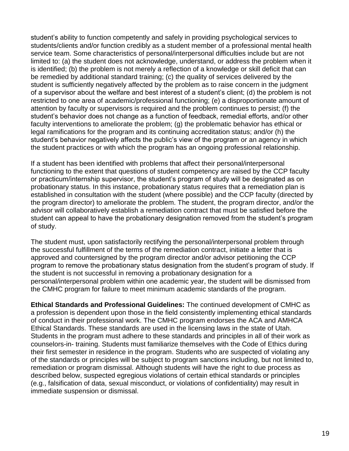student's ability to function competently and safely in providing psychological services to students/clients and/or function credibly as a student member of a professional mental health service team. Some characteristics of personal/interpersonal difficulties include but are not limited to: (a) the student does not acknowledge, understand, or address the problem when it is identified; (b) the problem is not merely a reflection of a knowledge or skill deficit that can be remedied by additional standard training; (c) the quality of services delivered by the student is sufficiently negatively affected by the problem as to raise concern in the judgment of a supervisor about the welfare and best interest of a student's client; (d) the problem is not restricted to one area of academic/professional functioning; (e) a disproportionate amount of attention by faculty or supervisors is required and the problem continues to persist; (f) the student's behavior does not change as a function of feedback, remedial efforts, and/or other faculty interventions to ameliorate the problem; (g) the problematic behavior has ethical or legal ramifications for the program and its continuing accreditation status; and/or (h) the student's behavior negatively affects the public's view of the program or an agency in which the student practices or with which the program has an ongoing professional relationship.

If a student has been identified with problems that affect their personal/interpersonal functioning to the extent that questions of student competency are raised by the CCP faculty or practicum/internship supervisor, the student's program of study will be designated as on probationary status. In this instance, probationary status requires that a remediation plan is established in consultation with the student (where possible) and the CCP faculty (directed by the program director) to ameliorate the problem. The student, the program director, and/or the advisor will collaboratively establish a remediation contract that must be satisfied before the student can appeal to have the probationary designation removed from the student's program of study.

The student must, upon satisfactorily rectifying the personal/interpersonal problem through the successful fulfillment of the terms of the remediation contract, initiate a letter that is approved and countersigned by the program director and/or advisor petitioning the CCP program to remove the probationary status designation from the student's program of study. If the student is not successful in removing a probationary designation for a personal/interpersonal problem within one academic year, the student will be dismissed from the CMHC program for failure to meet minimum academic standards of the program.

**Ethical Standards and Professional Guidelines:** The continued development of CMHC as a profession is dependent upon those in the field consistently implementing ethical standards of conduct in their professional work. The CMHC program endorses the ACA and AMHCA Ethical Standards. These standards are used in the licensing laws in the state of Utah. Students in the program must adhere to these standards and principles in all of their work as counselors-in- training. Students must familiarize themselves with the Code of Ethics during their first semester in residence in the program. Students who are suspected of violating any of the standards or principles will be subject to program sanctions including, but not limited to, remediation or program dismissal. Although students will have the right to due process as described below, suspected egregious violations of certain ethical standards or principles (e.g., falsification of data, sexual misconduct, or violations of confidentiality) may result in immediate suspension or dismissal.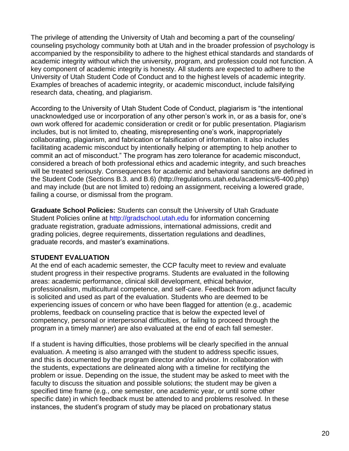The privilege of attending the University of Utah and becoming a part of the counseling/ counseling psychology community both at Utah and in the broader profession of psychology is accompanied by the responsibility to adhere to the highest ethical standards and standards of academic integrity without which the university, program, and profession could not function. A key component of academic integrity is honesty. All students are expected to adhere to the University of Utah Student Code of Conduct and to the highest levels of academic integrity. Examples of breaches of academic integrity, or academic misconduct, include falsifying research data, cheating, and plagiarism.

According to the University of Utah Student Code of Conduct, plagiarism is "the intentional unacknowledged use or incorporation of any other person's work in, or as a basis for, one's own work offered for academic consideration or credit or for public presentation. Plagiarism includes, but is not limited to, cheating, misrepresenting one's work, inappropriately collaborating, plagiarism, and fabrication or falsification of information. It also includes facilitating academic misconduct by intentionally helping or attempting to help another to commit an act of misconduct." The program has zero tolerance for academic misconduct, considered a breach of both professional ethics and academic integrity, and such breaches will be treated seriously. Consequences for academic and behavioral sanctions are defined in the Student Code (Sections B.3. and B.6) (http://regulations.utah.edu/academics/6-400.php) and may include (but are not limited to) redoing an assignment, receiving a lowered grade, failing a course, or dismissal from the program.

**Graduate School Policies:** Students can consult the University of Utah Graduate Student [Policies online at http://gradschool.utah.edu for information concerning](http://gradschool.utah.edu/)  [graduate registration,](http://gradschool.utah.edu/) graduate admissions, international admissions, credit and grading policies, degree requirements, dissertation regulations and deadlines, graduate records, and master's examinations.

#### **STUDENT EVALUATION**

At the end of each academic semester, the CCP faculty meet to review and evaluate student progress in their respective programs. Students are evaluated in the following areas: academic performance, clinical skill development, ethical behavior, professionalism, multicultural competence, and self-care. Feedback from adjunct faculty is solicited and used as part of the evaluation. Students who are deemed to be experiencing issues of concern or who have been flagged for attention (e.g., academic problems, feedback on counseling practice that is below the expected level of competency, personal or interpersonal difficulties, or failing to proceed through the program in a timely manner) are also evaluated at the end of each fall semester.

If a student is having difficulties, those problems will be clearly specified in the annual evaluation. A meeting is also arranged with the student to address specific issues, and this is documented by the program director and/or advisor. In collaboration with the students, expectations are delineated along with a timeline for rectifying the problem or issue. Depending on the issue, the student may be asked to meet with the faculty to discuss the situation and possible solutions; the student may be given a specified time frame (e.g., one semester, one academic year, or until some other specific date) in which feedback must be attended to and problems resolved. In these instances, the student's program of study may be placed on probationary status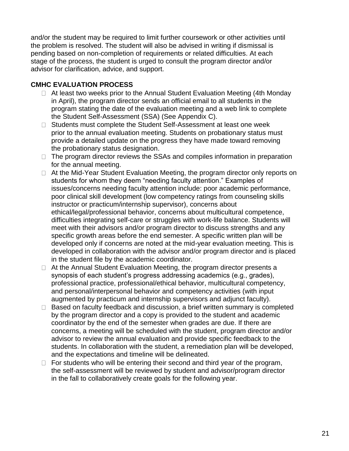and/or the student may be required to limit further coursework or other activities until the problem is resolved. The student will also be advised in writing if dismissal is pending based on non-completion of requirements or related difficulties. At each stage of the process, the student is urged to consult the program director and/or advisor for clarification, advice, and support.

#### **CMHC EVALUATION PROCESS**

- $\Box$  At least two weeks prior to the Annual Student Evaluation Meeting (4th Monday in April), the program director sends an official email to all students in the program stating the date of the evaluation meeting and a web link to complete the Student Self-Assessment (SSA) (See Appendix C).
- □ Students must complete the Student Self-Assessment at least one week prior to the annual evaluation meeting. Students on probationary status must provide a detailed update on the progress they have made toward removing the probationary status designation.
- $\Box$  The program director reviews the SSAs and compiles information in preparation for the annual meeting.
- □ At the Mid-Year Student Evaluation Meeting, the program director only reports on students for whom they deem "needing faculty attention." Examples of issues/concerns needing faculty attention include: poor academic performance, poor clinical skill development (low competency ratings from counseling skills instructor or practicum/internship supervisor), concerns about ethical/legal/professional behavior, concerns about multicultural competence, difficulties integrating self-care or struggles with work-life balance. Students will meet with their advisors and/or program director to discuss strengths and any specific growth areas before the end semester. A specific written plan will be developed only if concerns are noted at the mid-year evaluation meeting. This is developed in collaboration with the advisor and/or program director and is placed in the student file by the academic coordinator.
- $\Box$  At the Annual Student Evaluation Meeting, the program director presents a synopsis of each student's progress addressing academics (e.g., grades), professional practice, professional/ethical behavior, multicultural competency, and personal/interpersonal behavior and competency activities (with input augmented by practicum and internship supervisors and adjunct faculty).
- $\Box$  Based on faculty feedback and discussion, a brief written summary is completed by the program director and a copy is provided to the student and academic coordinator by the end of the semester when grades are due. If there are concerns, a meeting will be scheduled with the student, program director and/or advisor to review the annual evaluation and provide specific feedback to the students. In collaboration with the student, a remediation plan will be developed, and the expectations and timeline will be delineated.
- $\Box$  For students who will be entering their second and third year of the program, the self-assessment will be reviewed by student and advisor/program director in the fall to collaboratively create goals for the following year.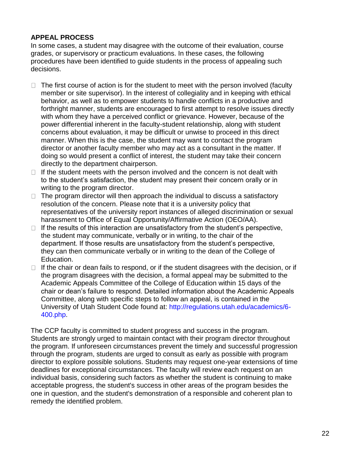#### **APPEAL PROCESS**

In some cases, a student may disagree with the outcome of their evaluation, course grades, or supervisory or practicum evaluations. In these cases, the following procedures have been identified to guide students in the process of appealing such decisions.

- $\Box$  The first course of action is for the student to meet with the person involved (faculty member or site supervisor). In the interest of collegiality and in keeping with ethical behavior, as well as to empower students to handle conflicts in a productive and forthright manner, students are encouraged to first attempt to resolve issues directly with whom they have a perceived conflict or grievance. However, because of the power differential inherent in the faculty-student relationship, along with student concerns about evaluation, it may be difficult or unwise to proceed in this direct manner. When this is the case, the student may want to contact the program director or another faculty member who may act as a consultant in the matter. If doing so would present a conflict of interest, the student may take their concern directly to the department chairperson.
- $\Box$  If the student meets with the person involved and the concern is not dealt with to the student's satisfaction, the student may present their concern orally or in writing to the program director.
- $\Box$  The program director will then approach the individual to discuss a satisfactory resolution of the concern. Please note that it is a university policy that representatives of the university report instances of alleged discrimination or sexual harassment to Office of Equal Opportunity/Affirmative Action (OEO/AA).
- $\Box$  If the results of this interaction are unsatisfactory from the student's perspective, the student may communicate, verbally or in writing, to the chair of the department. If those results are unsatisfactory from the student's perspective, they can then communicate verbally or in writing to the dean of the College of Education.
- $\Box$  If the chair or dean fails to respond, or if the student disagrees with the decision, or if the program disagrees with the decision, a formal appeal may be submitted to the Academic Appeals Committee of the College of Education within 15 days of the chair or dean's failure to respond. Detailed information about the Academic Appeals Committee, along with specific steps to follow an appeal, is contained in the University of Utah Student Code found at: [http://regulations.utah.edu/academics/6-](http://regulations.utah.edu/academics/6-400.php) [400.php.](http://regulations.utah.edu/academics/6-400.php)

The CCP faculty is committed to student progress and success in the program. Students are strongly urged to maintain contact with their program director throughout the program. If unforeseen circumstances prevent the timely and successful progression through the program, students are urged to consult as early as possible with program director to explore possible solutions. Students may request one-year extensions of time deadlines for exceptional circumstances. The faculty will review each request on an individual basis, considering such factors as whether the student is continuing to make acceptable progress, the student's success in other areas of the program besides the one in question, and the student's demonstration of a responsible and coherent plan to remedy the identified problem.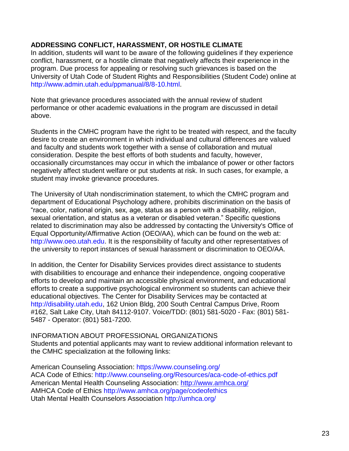#### **ADDRESSING CONFLICT, HARASSMENT, OR HOSTILE CLIMATE**

In addition, students will want to be aware of the following guidelines if they experience conflict, harassment, or a hostile climate that negatively affects their experience in the program. Due process for appealing or resolving such grievances is based on the University of Utah Code of Student Rights and Responsibilities (Student Code) online at [http://www.admin.utah.edu/ppmanual/8/8-10.html.](http://www.admin.utah.edu/ppmanual/8/8-10.html)

Note that grievance procedures associated with the annual review of student performance or other academic evaluations in the program are discussed in detail above.

Students in the CMHC program have the right to be treated with respect, and the faculty desire to create an environment in which individual and cultural differences are valued and faculty and students work together with a sense of collaboration and mutual consideration. Despite the best efforts of both students and faculty, however, occasionally circumstances may occur in which the imbalance of power or other factors negatively affect student welfare or put students at risk. In such cases, for example, a student may invoke grievance procedures.

The University of Utah nondiscrimination statement, to which the CMHC program and department of Educational Psychology adhere, prohibits discrimination on the basis of "race, color, national origin, sex, age, status as a person with a disability, religion, sexual orientation, and status as a veteran or disabled veteran." Specific questions related to discrimination may also be addressed by contacting the University's Office of Equal Opportunity/Affirmative Action (OEO/AA), which can be found on the web at: [http://www.oeo.utah.edu. It is the responsibility of faculty and other representatives of](http://www.oeo.utah.edu/)  [the](http://www.oeo.utah.edu/) university to report instances of sexual harassment or discrimination to OEO/AA.

In addition, the Center for Disability Services provides direct assistance to students with disabilities to encourage and enhance their independence, ongoing cooperative efforts to develop and maintain an accessible physical environment, and educational efforts to create a supportive psychological environment so students can achieve their educational objectives. The Center for Disability Services may be contacted at [http://disability.utah.edu, 162 Union](http://disability.utah.edu/) Bldg, 200 South Central Campus Drive, Room #162, Salt Lake City, Utah 84112-9107. Voice/TDD: (801) 581-5020 - Fax: (801) 581- 5487 - Operator: (801) 581-7200.

INFORMATION ABOUT PROFESSIONAL ORGANIZATIONS Students and potential applicants may want to review additional information relevant to the CMHC specialization at the following links:

American Counseling Association: https://www.counseling.org/ ACA Code of Ethics: http://www.counseling.org/Resources/aca-code-of-ethics.pdf American Mental Health Counseling Association:<http://www.amhca.org/> AMHCA Code of Ethics http://www.amhca.org/page/codeofethics Utah Mental Health Counselors Association http://umhca.org/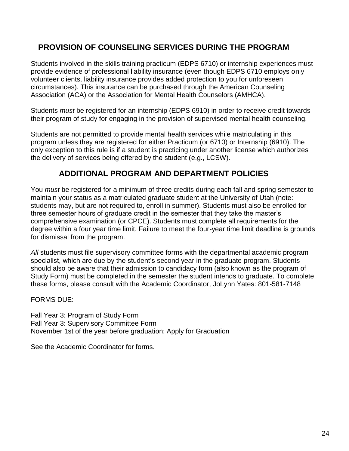## **PROVISION OF COUNSELING SERVICES DURING THE PROGRAM**

Students involved in the skills training practicum (EDPS 6710) or internship experiences must provide evidence of professional liability insurance (even though EDPS 6710 employs only volunteer clients, liability insurance provides added protection to you for unforeseen circumstances). This insurance can be purchased through the American Counseling Association (ACA) or the Association for Mental Health Counselors (AMHCA).

Students *must* be registered for an internship (EDPS 6910) in order to receive credit towards their program of study for engaging in the provision of supervised mental health counseling.

Students are not permitted to provide mental health services while matriculating in this program unless they are registered for either Practicum (or 6710) or Internship (6910). The only exception to this rule is if a student is practicing under another license which authorizes the delivery of services being offered by the student (e.g., LCSW).

## **ADDITIONAL PROGRAM AND DEPARTMENT POLICIES**

You *must* be registered for a minimum of three credits during each fall and spring semester to maintain your status as a matriculated graduate student at the University of Utah (note: students may, but are not required to, enroll in summer). Students must also be enrolled for three semester hours of graduate credit in the semester that they take the master's comprehensive examination (or CPCE). Students must complete all requirements for the degree within a four year time limit. Failure to meet the four-year time limit deadline is grounds for dismissal from the program.

All students must file supervisory committee forms with the departmental academic program specialist, which are due by the student's second year in the graduate program. Students should also be aware that their admission to candidacy form (also known as the program of Study Form) must be completed in the semester the student intends to graduate. To complete these forms, please consult with the Academic Coordinator, JoLynn Yates: 801-581-7148

FORMS DUE:

Fall Year 3: Program of Study Form Fall Year 3: Supervisory Committee Form November 1st of the year before graduation: Apply for Graduation

See the Academic Coordinator for forms.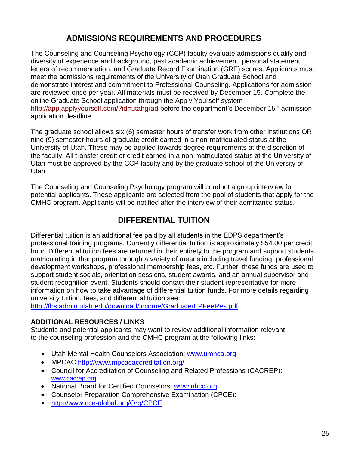## **ADMISSIONS REQUIREMENTS AND PROCEDURES**

The Counseling and Counseling Psychology (CCP) faculty evaluate admissions quality and diversity of experience and background, past academic achievement, personal statement, letters of recommendation, and Graduate Record Examination (GRE) scores. Applicants must meet the admissions requirements of the University of Utah Graduate School and demonstrate interest and commitment to Professional Counseling. Applications for admission are reviewed once per year. All materials must be received by December 15. Complete the online Graduate School application through the Apply Yourself system http://app.applyyourself.com/?id=utahgrad before the department's December 15<sup>th</sup> admission application deadline.

The graduate school allows six (6) semester hours of transfer work from other institutions OR nine (9) semester hours of graduate credit earned in a non-matriculated status at the University of Utah. These may be applied towards degree requirements at the discretion of the faculty. All transfer credit or credit earned in a non-matriculated status at the University of Utah must be approved by the CCP faculty and by the graduate school of the University of Utah.

The Counseling and Counseling Psychology program will conduct a group interview for potential applicants. These applicants are selected from the pool of students that apply for the CMHC program. Applicants will be notified after the interview of their admittance status.

## **DIFFERENTIAL TUITION**

Differential tuition is an additional fee paid by all students in the EDPS department's professional training programs. Currently differential tuition is approximately \$54.00 per credit hour. Differential tuition fees are returned in their entirety to the program and support students matriculating in that program through a variety of means including travel funding, professional development workshops, professional membership fees, etc. Further, these funds are used to support student socials, orientation sessions, student awards, and an annual supervisor and student recognition event. Students should contact their student representative for more information on how to take advantage of differential tuition funds. For more details regarding university tuition, fees, and differential tuition see:

<http://fbs.admin.utah.edu/download/income/Graduate/EPFeeRes.pdf>

#### **ADDITIONAL RESOURCES / LINKS**

Students and potential applicants may want to review additional information relevant to the counseling profession and the CMHC program at the following links:

- Utah Mental Health Counselors Association: [www.umhca.org](http://www.umhca.org/)
- MPCAC[:http://www.mpcacaccreditation.org/](http://www.mpcacaccreditation.org/)
- Council for Accreditation of Counseling and Related Professions (CACREP): [www.cacrep.org](http://www.cacrep.org/)
- National Board for Certified Counselors: [www.nbcc.org](http://www.nbcc.org/)
- Counselor Preparation Comprehensive Examination (CPCE):
- <http://www.cce-global.org/Org/CPCE>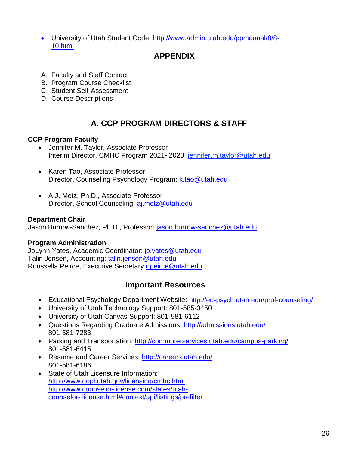University of Utah Student Code: [http://www.admin.utah.edu/ppmanual/8/8-](http://www.admin.utah.edu/ppmanual/8/8-10.html) [10.html](http://www.admin.utah.edu/ppmanual/8/8-10.html)

## **APPENDIX**

- A. Faculty and Staff Contact
- B. Program Course Checklist
- C. Student Self-Assessment
- D. Course Descriptions

## **A. CCP PROGRAM DIRECTORS & STAFF**

#### **CCP Program Faculty**

- Jennifer M. Taylor, Associate Professor Interim Director, CMHC Program 2021- 2023: jennifer.m.taylor@utah.edu
- Karen Tao, Associate Professor Director, Counseling Psychology Program: [k.tao@utah.edu](mailto:k.tao@utah.edu)
- A.J. Metz, Ph.D., Associate Professor Director, School Counseling: [aj.metz@utah.edu](mailto:aj.metz@utah.edu)

#### **Department Chair**

Jason Burrow-Sanchez, Ph.D., Professor: jason.burrow-sanchez@utah.edu

#### **Program Administration**

JoLynn Yates, Academic Coordinator: [jo.yates@utah.edu](mailto:jo.yates@utah.edu) Talin Jensen, Accounting: [talin.jensen@utah.edu](mailto:talin.jensen@utah.edu) Roussella Peirce, Executive Secretary [r.peirce@utah.edu](http://r.peirce@utah.edu)

#### **Important Resources**

- Educational Psychology Department Website:<http://ed-psych.utah.edu/prof-counseling/>
- University of Utah Technology Support: 801-585-3450
- University of Utah Canvas Support: 801-581-6112
- Questions Regarding Graduate Admissions:<http://admissions.utah.edu/> 801-581-7283
- Parking and Transportation:<http://commuterservices.utah.edu/campus-parking/> 801-581-6415
- Resume and Career Services:<http://careers.utah.edu/> 801-581-6186
- State of Utah Licensure Information: <http://www.dopl.utah.gov/licensing/cmhc.html> [http://www.counselor-license.com/states/utah](http://www.counselor-license.com/states/utah-counselor-license.html#context/api/listings/prefilter)[counselor-](http://www.counselor-license.com/states/utah-counselor-license.html#context/api/listings/prefilter) [license.html#context/api/listings/prefilter](http://www.counselor-license.com/states/utah-counselor-license.html#context/api/listings/prefilter)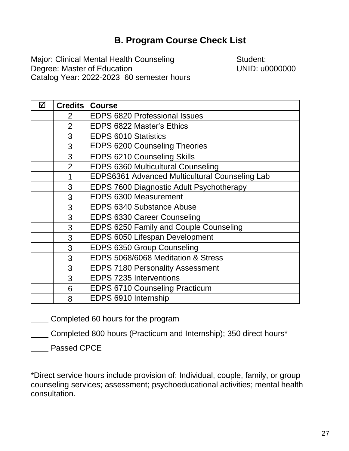## **B. Program Course Check List**

Major: Clinical Mental Health Counseling **Student:** Degree: Master of Education UNID: u0000000 Catalog Year: 2022-2023 60 semester hours

| ☑ |                | <b>Credits   Course</b>                        |
|---|----------------|------------------------------------------------|
|   | 2              | <b>EDPS 6820 Professional Issues</b>           |
|   | $\overline{2}$ | <b>EDPS 6822 Master's Ethics</b>               |
|   | 3              | <b>EDPS 6010 Statistics</b>                    |
|   | 3              | <b>EDPS 6200 Counseling Theories</b>           |
|   | 3              | <b>EDPS 6210 Counseling Skills</b>             |
|   | $\overline{2}$ | <b>EDPS 6360 Multicultural Counseling</b>      |
|   | 1              | EDPS6361 Advanced Multicultural Counseling Lab |
|   | 3              | EDPS 7600 Diagnostic Adult Psychotherapy       |
|   | 3              | <b>EDPS 6300 Measurement</b>                   |
|   | 3              | <b>EDPS 6340 Substance Abuse</b>               |
|   | 3              | <b>EDPS 6330 Career Counseling</b>             |
|   | 3              | EDPS 6250 Family and Couple Counseling         |
|   | 3              | EDPS 6050 Lifespan Development                 |
|   | 3              | EDPS 6350 Group Counseling                     |
|   | 3              | EDPS 5068/6068 Meditation & Stress             |
|   | 3              | <b>EDPS 7180 Personality Assessment</b>        |
|   | 3              | <b>EDPS 7235 Interventions</b>                 |
|   | 6              | <b>EDPS 6710 Counseling Practicum</b>          |
|   | 8              | EDPS 6910 Internship                           |

Completed 60 hours for the program

Completed 800 hours (Practicum and Internship); 350 direct hours\*

Passed CPCE

\*Direct service hours include provision of: Individual, couple, family, or group counseling services; assessment; psychoeducational activities; mental health consultation.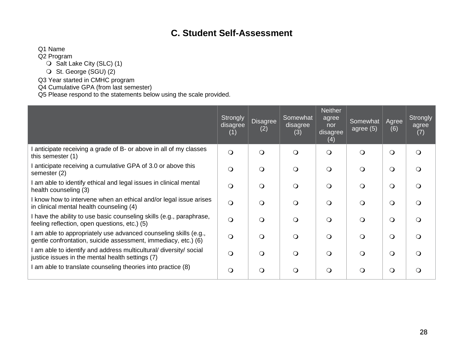## **C. Student Self-Assessment**

Q1 Name

Q2 Program

O Salt Lake City (SLC) (1)

O St. George (SGU) (2)

Q3 Year started in CMHC program

Q4 Cumulative GPA (from last semester)

Q5 Please respond to the statements below using the scale provided.

|                                                                                                                                  | <b>Strongly</b><br>disagree<br>(1) | <b>Disagree</b><br>(2) | Somewhat<br>disagree<br>(3) | <b>Neither</b><br>agree<br>nor<br>disagree<br>(4) | Somewhat<br>agree $(5)$ | Agree<br>(6) | Strongly<br>agree<br>(7) |
|----------------------------------------------------------------------------------------------------------------------------------|------------------------------------|------------------------|-----------------------------|---------------------------------------------------|-------------------------|--------------|--------------------------|
| anticipate receiving a grade of B- or above in all of my classes<br>this semester (1)                                            | $\bigcirc$                         | $\Omega$               | $\Omega$                    | $\circ$                                           | $\Omega$                | $\Omega$     | $\Omega$                 |
| anticipate receiving a cumulative GPA of 3.0 or above this<br>semester (2)                                                       | $\mathsf{O}$                       | $\Omega$               | Q                           | $\Omega$                                          | $\Omega$                | $\Omega$     | ∩                        |
| am able to identify ethical and legal issues in clinical mental<br>health counseling (3)                                         | $\Omega$                           | $\Omega$               | $\Omega$                    | $\bigcirc$                                        | $\Omega$                | $\Omega$     |                          |
| I know how to intervene when an ethical and/or legal issue arises<br>in clinical mental health counseling (4)                    | $\circ$                            | $\Omega$               | $\Omega$                    | $\Omega$                                          | $\Omega$                | $\Omega$     | ∩                        |
| I have the ability to use basic counseling skills (e.g., paraphrase,<br>feeling reflection, open questions, etc.) (5)            |                                    | $\Omega$               | Q                           | $\Omega$                                          | $\Omega$                | $\Omega$     | ∩                        |
| am able to appropriately use advanced counseling skills (e.g.,<br>gentle confrontation, suicide assessment, immediacy, etc.) (6) | $\bigcirc$                         | $\Omega$               | $\Omega$                    | $\Omega$                                          | $\Omega$                | $\Omega$     | ∩                        |
| am able to identify and address multicultural/ diversity/ social<br>justice issues in the mental health settings (7)             | $\Omega$                           | $\Omega$               | $\Omega$                    | $\Omega$                                          | $\Omega$                | $\Omega$     | ∩                        |
| am able to translate counseling theories into practice (8)                                                                       | $\circ$                            | $\Omega$               | Q                           | $\bigcirc$                                        | $\Omega$                | $\Omega$     |                          |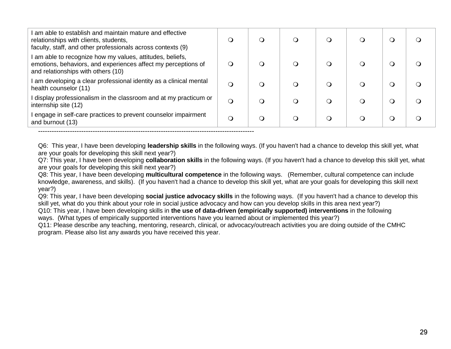| I am able to establish and maintain mature and effective<br>relationships with clients, students,<br>faculty, staff, and other professionals across contexts (9) | $\Omega$ | O |           | Ω |  |
|------------------------------------------------------------------------------------------------------------------------------------------------------------------|----------|---|-----------|---|--|
| I am able to recognize how my values, attitudes, beliefs,<br>emotions, behaviors, and experiences affect my perceptions of<br>and relationships with others (10) | $\Omega$ | ∩ |           | Ω |  |
| I am developing a clear professional identity as a clinical mental<br>health counselor (11)                                                                      | ∩        | ∩ | $\lambda$ | O |  |
| I display professionalism in the classroom and at my practicum or<br>internship site (12)                                                                        | $\Omega$ | ∩ |           | Ω |  |
| I engage in self-care practices to prevent counselor impairment<br>and burnout (13)                                                                              | O        | Q | (၂        | Q |  |
|                                                                                                                                                                  |          |   |           |   |  |

Q6: This year, I have been developing **leadership skills** in the following ways. (If you haven't had a chance to develop this skill yet, what are your goals for developing this skill next year?)

Q7: This year, I have been developing **collaboration skills** in the following ways. (If you haven't had a chance to develop this skill yet, what are your goals for developing this skill next year?)

Q8: This year, I have been developing **multicultural competence** in the following ways. (Remember, cultural competence can include knowledge, awareness, and skills). (If you haven't had a chance to develop this skill yet, what are your goals for developing this skill next year?)

Q9: This year, I have been developing **social justice advocacy skills** in the following ways. (If you haven't had a chance to develop this skill yet, what do you think about your role in social justice advocacy and how can you develop skills in this area next year?)

Q10: This year, I have been developing skills in **the use of data-driven (empirically supported) interventions** in the following ways. (What types of empirically supported interventions have you learned about or implemented this year?)

Q11: Please describe any teaching, mentoring, research, clinical, or advocacy/outreach activities you are doing outside of the CMHC program. Please also list any awards you have received this year.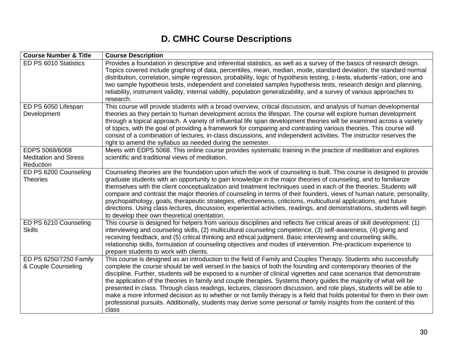## **D. CMHC Course Descriptions**

| <b>Course Number &amp; Title</b>              | <b>Course Description</b>                                                                                                                                                                                                                                                                                                                                                                                                                                                                                                                                                                                                                                                                                                                                                                                                                                        |
|-----------------------------------------------|------------------------------------------------------------------------------------------------------------------------------------------------------------------------------------------------------------------------------------------------------------------------------------------------------------------------------------------------------------------------------------------------------------------------------------------------------------------------------------------------------------------------------------------------------------------------------------------------------------------------------------------------------------------------------------------------------------------------------------------------------------------------------------------------------------------------------------------------------------------|
| ED PS 6010 Statistics                         | Provides a foundation in descriptive and inferential statistics, as well as a survey of the basics of research design.<br>Topics covered include graphing of data, percentiles, mean, median, mode, standard deviation, the standard normal<br>distribution, correlation, simple regression, probability, logic of hypothesis testing, z-tests, students'-ration, one and<br>two sample hypothesis tests, independent and correlated samples hypothesis tests, research design and planning,<br>reliability, instrument validity, internal validity, population generalizability, and a survey of various approaches to<br>research.                                                                                                                                                                                                                             |
| ED PS 6050 Lifespan                           | This course will provide students with a broad overview, critical discussion, and analysis of human developmental                                                                                                                                                                                                                                                                                                                                                                                                                                                                                                                                                                                                                                                                                                                                                |
| Development                                   | theories as they pertain to human development across the lifespan. The course will explore human development<br>through a topical approach. A variety of influential life span development theories will be examined across a variety<br>of topics, with the goal of providing a framework for comparing and contrasting various theories. This course will<br>consist of a combination of lectures, in-class discussions, and independent activities. The instructor reserves the<br>right to amend the syllabus as needed during the semester.                                                                                                                                                                                                                                                                                                                 |
| EDPS 5068/6068                                | Meets with EDPS 5068. This online course provides systematic training in the practice of meditation and explores                                                                                                                                                                                                                                                                                                                                                                                                                                                                                                                                                                                                                                                                                                                                                 |
| <b>Meditation and Stress</b>                  | scientific and traditional views of meditation.                                                                                                                                                                                                                                                                                                                                                                                                                                                                                                                                                                                                                                                                                                                                                                                                                  |
| Reduction                                     |                                                                                                                                                                                                                                                                                                                                                                                                                                                                                                                                                                                                                                                                                                                                                                                                                                                                  |
| ED PS 6200 Counseling<br><b>Theories</b>      | Counseling theories are the foundation upon which the work of counseling is built. This course is designed to provide<br>graduate students with an opportunity to gain knowledge in the major theories of counseling, and to familiarize<br>themselves with the client conceptualization and treatment techniques used in each of the theories. Students will<br>compare and contrast the major theories of counseling in terms of their founders, views of human nature, personality,<br>psychopathology, goals, therapeutic strategies, effectiveness, criticisms, multicultural applications, and future<br>directions. Using class lectures, discussion, experiential activities, readings, and demonstrations, students will begin<br>to develop their own theoretical orientation.                                                                         |
| ED PS 6210 Counseling<br><b>Skills</b>        | This course is designed for helpers from various disciplines and reflects five critical areas of skill development: (1)<br>interviewing and counseling skills, (2) multicultural counseling competence, (3) self-awareness, (4) giving and<br>receiving feedback, and (5) critical thinking and ethical judgment. Basic interviewing and counseling skills,<br>relationship skills, formulation of counseling objectives and modes of intervention. Pre-practicum experience to<br>prepare students to work with clients.                                                                                                                                                                                                                                                                                                                                        |
| ED PS 6250/7250 Family<br>& Couple Counseling | This course is designed as an introduction to the field of Family and Couples Therapy. Students who successfully<br>complete the course should be well versed in the basics of both the founding and contemporary theories of the<br>discipline. Further, students will be exposed to a number of clinical vignettes and case scenarios that demonstrate<br>the application of the theories in family and couple therapies. Systems theory guides the majority of what will be<br>presented in class. Through class readings, lectures, classroom discussion, and role plays, students will be able to<br>make a more informed decision as to whether or not family therapy is a field that holds potential for them in their own<br>professional pursuits. Additionally, students may derive some personal or family insights from the content of this<br>class |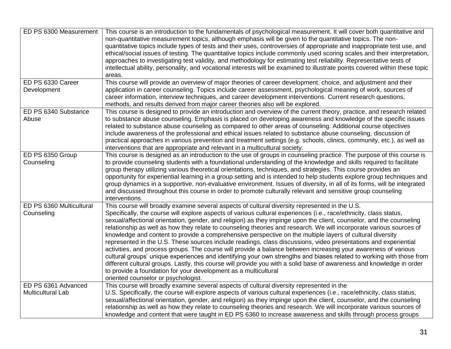| ED PS 6300 Measurement   | This course is an introduction to the fundamentals of psychological measurement. It will cover both quantitative and<br>non-quantitative measurement topics, although emphasis will be given to the quantitative topics. The non-<br>quantitative topics include types of tests and their uses, controversies of appropriate and inappropriate test use, and<br>ethical/social issues of testing. The quantitative topics include commonly used scoring scales and their interpretation,<br>approaches to investigating test validity, and methodology for estimating test reliability. Representative tests of<br>intellectual ability, personality, and vocational interests will be examined to illustrate points covered within these topic<br>areas.                                                                                                                                                                                                                                                                                                                      |
|--------------------------|--------------------------------------------------------------------------------------------------------------------------------------------------------------------------------------------------------------------------------------------------------------------------------------------------------------------------------------------------------------------------------------------------------------------------------------------------------------------------------------------------------------------------------------------------------------------------------------------------------------------------------------------------------------------------------------------------------------------------------------------------------------------------------------------------------------------------------------------------------------------------------------------------------------------------------------------------------------------------------------------------------------------------------------------------------------------------------|
| ED PS 6330 Career        | This course will provide an overview of major theories of career development, choice, and adjustment and their                                                                                                                                                                                                                                                                                                                                                                                                                                                                                                                                                                                                                                                                                                                                                                                                                                                                                                                                                                 |
| Development              | application in career counseling. Topics include career assessment, psychological meaning of work, sources of<br>career information, interview techniques, and career development interventions. Current research questions,<br>methods, and results derived from major career theories also will be explored.                                                                                                                                                                                                                                                                                                                                                                                                                                                                                                                                                                                                                                                                                                                                                                 |
| ED PS 6340 Substance     | This course is designed to provide an introduction and overview of the current theory, practice, and research related                                                                                                                                                                                                                                                                                                                                                                                                                                                                                                                                                                                                                                                                                                                                                                                                                                                                                                                                                          |
| Abuse                    | to substance abuse counseling. Emphasis is placed on developing awareness and knowledge of the specific issues<br>related to substance abuse counseling as compared to other areas of counseling. Additional course objectives<br>include awareness of the professional and ethical issues related to substance abuse counseling, discussion of<br>practical approaches in various prevention and treatment settings (e.g. schools, clinics, community, etc.), as well as<br>interventions that are appropriate and relevant in a multicultural society.                                                                                                                                                                                                                                                                                                                                                                                                                                                                                                                       |
| ED PS 6350 Group         | This course is designed as an introduction to the use of groups in counseling practice. The purpose of this course is                                                                                                                                                                                                                                                                                                                                                                                                                                                                                                                                                                                                                                                                                                                                                                                                                                                                                                                                                          |
| Counseling               | to provide counseling students with a foundational understanding of the knowledge and skills required to facilitate<br>group therapy utilizing various theoretical orientations, techniques, and strategies. This course provides an<br>opportunity for experiential learning in a group setting and is intended to help students explore group techniques and<br>group dynamics in a supportive, non-evaluative environment. Issues of diversity, in all of its forms, will be integrated<br>and discussed throughout this course in order to promote culturally relevant and sensitive group counseling<br>interventions.                                                                                                                                                                                                                                                                                                                                                                                                                                                    |
| ED PS 6360 Multicultural | This course will broadly examine several aspects of cultural diversity represented in the U.S.                                                                                                                                                                                                                                                                                                                                                                                                                                                                                                                                                                                                                                                                                                                                                                                                                                                                                                                                                                                 |
| Counseling               | Specifically, the course will explore aspects of various cultural experiences (i.e., race/ethnicity, class status,<br>sexual/affectional orientation, gender, and religion) as they impinge upon the client, counselor, and the counseling<br>relationship as well as how they relate to counseling theories and research. We will incorporate various sources of<br>knowledge and content to provide a comprehensive perspective on the multiple layers of cultural diversity<br>represented in the U.S. These sources include readings, class discussions, video presentations and experiential<br>activities, and process groups. The course will provide a balance between increasing your awareness of various<br>cultural groups' unique experiences and identifying your own strengths and biases related to working with those from<br>different cultural groups. Lastly, this course will provide you with a solid base of awareness and knowledge in order<br>to provide a foundation for your development as a multicultural<br>oriented counselor or psychologist. |
| ED PS 6361 Advanced      | This course will broadly examine several aspects of cultural diversity represented in the                                                                                                                                                                                                                                                                                                                                                                                                                                                                                                                                                                                                                                                                                                                                                                                                                                                                                                                                                                                      |
| <b>Multicultural Lab</b> | U.S. Specifically, the course will explore aspects of various cultural experiences (i.e., race/ethnicity, class status,<br>sexual/affectional orientation, gender, and religion) as they impinge upon the client, counselor, and the counseling                                                                                                                                                                                                                                                                                                                                                                                                                                                                                                                                                                                                                                                                                                                                                                                                                                |
|                          |                                                                                                                                                                                                                                                                                                                                                                                                                                                                                                                                                                                                                                                                                                                                                                                                                                                                                                                                                                                                                                                                                |
|                          | relationship as well as how they relate to counseling theories and research. We will incorporate various sources of<br>knowledge and content that were taught in ED PS 6360 to increase awareness and skills through process groups                                                                                                                                                                                                                                                                                                                                                                                                                                                                                                                                                                                                                                                                                                                                                                                                                                            |